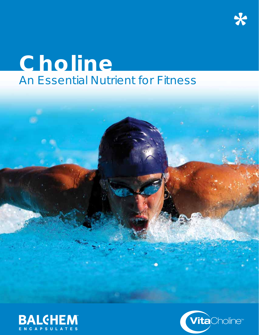# **Choline** An Essential Nutrient for Fitness



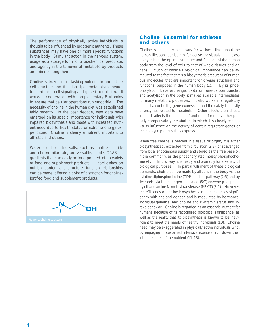*The performance of physically active individuals is thought to be infl uenced by ergogenic nutrients. These*  substances may have one or more specific functions *in the body. Stimulant action in the nervous system, usage as a storage form for a biochemical precursor, and agency in the turnover of metabolic by-products are prime among them.*

*Choline is truly a multi-tasking nutrient, important for cell structure and function, lipid metabolism, neurotransmission, cell signaling and genetic regulation. It works in cooperation with complementary B-vitamins to ensure that cellular operations run smoothly. The necessity of choline in the human diet was established fairly recently. In the past decade, new data have emerged on its special importance for individuals with impaired biosynthesis and those with increased nutrient need due to health status or extreme energy expenditure. Choline is clearly a nutrient important to athletes and others.* 

*Water-soluble choline salts, such as choline chloride and choline bitartrate, are versatile, stable, GRAS ingredients that can easily be incorporated into a variety of food and supplement products. Label claims on nutrient content and structure -function relationships can be made, offering a point of distinction for choline*fortified food and supplement products.

OH

# **Choline: Essential for athletes and others**

Choline is absolutely necessary for wellness throughout the human lifespan, particularly for active individuals. It plays a key role in the optimal structure and function of the human body from the level of cells to that of whole tissues and organs. Much of choline's biological importance can be attributed to the fact that it is a biosynthetic precursor of numerous molecules that are important for diverse structural and functional purposes in the human body (1). By its phosphorylation, base exchange, oxidation, one-carbon transfer, and acetylation in the body, it makes available intermediates for many metabolic processes. It also works in a regulatory capacity, controlling gene expression and the catalytic activity of enzymes related to metabolism. Other effects are indirect, in that it affects the balance of and need for many other partially compensatory metabolites to which it is closely related, via its influence on the activity of certain regulatory genes or the catalytic proteins they express.

When free choline is needed in a tissue or organ, it is either biosynthesized, extracted from circulation (2;3), or scavenged from local endogenous supply and stored as the free base or, more commonly, as the phosphorylated moiety phosphocholine (4). In this way, it is ready and availably for a variety of biological purposes. In partial fulfillment of these biological demands, choline can be made by all cells in the body via the cytidine diphosphocholine (CDP-choline) pathway (2;5) and by liver cells via the estrogen-regulated (6;7) enzyme phosphatidylethanolamine N-methyltransferase (PEMT) (8;9). However, the efficiency of choline biosynthesis in humans varies significantly with age and gender, and is modulated by hormones, individual genetics, and choline and B-vitamin status and intake behavior. Choline is regarded as an essential nutrient for humans because of its recognized biological significance, as well as the reality that its biosynthesis is known to be insufficient to meet the needs of healthy individuals (10). Choline need may be exaggerated in physically active individuals who, by engaging in sustained intensive exercise, run down their internal stores of the nutrient (11-13).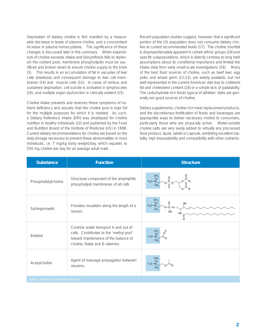Deprivation of dietary choline is first manifest by a measurable decrease in levels of plasma choline, and a concomitant increase in plasma homocysteine. The significance of these changes is discussed later in this summary. When expenditure of choline exceeds intake and biosynthesis fails to replenish the nutrient pool, membrane phospholipids must be sacrificed and broken down to ensure choline supply to the brain (3). This results in an accumulation of fat in vacuoles of liver cells (steatosis) and consequent damage to liver cell membranes (14) and muscle cells (15). In cases of serious and sustained deprivation, cell suicide is activated in lymphocytes (16), and multiple organ dysfunction is clinically evident (15).

Choline intake prevents and reverses these symptoms of nutrient deficiency and assures that the choline pool is kept full for the multiple purposes for which it is needed. As such, a Dietary Reference Intake (DRI) was developed for choline nutrition in healthy individuals (10) and published by the Food and Nutrition Board of the Institute of Medicine (US) in 1998. Current dietary recommendations for choline are based on the daily dosage necessary to prevent these abnormalities in most individuals, *i.e.* 7 mg/kg body weight/day, which equates to 550 mg choline per day for an average adult male.

Recent population studies suggest, however, that a significant portion of the US population does not consume dietary choline at current recommended levels (17). The choline shortfall is disproportionately apparent in certain ethnic groups (18) and specific subpopulations, which is directly contrary to long held assumptions about its conditional importance and limited the intake data from early small-scale investigations (19). Many of the best food sources of choline, such as beef liver, egg yolks and wheat germ (12;13), are widely available, but not well-represented in the current American diet due to collateral fat and cholesterol content (18) or a simple lack of palatability. The carbohydrate-rich foods typical of athletes' diets are generally not good sources of choline.

Dietary supplements, choline-rich meal-replacement products, and the discretionary fortification of foods and beverages are appropriate ways to deliver necessary choline to consumers, particularly those who are physically active. Water-soluble choline salts are very easily added to virtually any processed food product, liquid, tablet or capsule, exhibiting excellent stability, high bioavailability and compatibility with other nutrients.

| <b>Substance</b>                           | <b>Function</b>                                                                                                                                              | <b>Structure</b>           |
|--------------------------------------------|--------------------------------------------------------------------------------------------------------------------------------------------------------------|----------------------------|
| Phosphatidylcholine                        | Structural component of the amphiphilic<br>phospholipid membranes of all cells                                                                               | $H_3C - N$<br>$CH_3$<br>Ó  |
| Sphingomyelin                              | Provides insulation along the length of a<br>neuron.                                                                                                         | ه ا<br>$H_3C-N$<br>`o–P-o– |
| <b>Betaine</b>                             | Controls water transport in and out of<br>cells. Contributes to the 'methyl pool'<br>toward maintenance of the balance of<br>choline, folate and B-vitamins. | l ⊕<br>$H_3C-N$            |
| Acetylcholine                              | Agent of message propagation between<br>neurons.                                                                                                             | ۱⊕<br>$H_3C-N$             |
| Table 1. Choline as a structural precursor |                                                                                                                                                              |                            |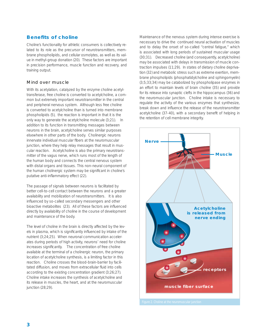# **Benefits of choline**

Choline's functionality for athletic consumers is collectively related to its role as the precursor of neurotransmitters, membrane phospholipids, and cellular osmolytes, as well as its value in methyl-group donation (20). These factors are important in precision performance, muscle function and recovery, and training output.

## Mind over muscle

With its acetylation, catalyzed by the enzyme choline acetyltransferase, free choline is converted to acetylcholine, a common but extremely important neurotransmitter in the central and peripheral nervous system. Although less free choline is converted to acetylcholine than is turned into membrane phospholipids (5), the reaction is important in that it is the only way to generate the acetylcholine molecule (3;21). In addition to its function in transmitting messages between neurons in the brain, acetylcholine serves similar purposes elsewhere in other parts of the body. Cholinergic neurons innervate individual muscular fibers at the neuromuscular junction, where they help relay messages that result in muscular reaction. Acetylcholine is also the primary neurotransmitter of the vagus nerve, which runs most of the length of the human body and connects the central nervous system with distal organs and tissues. This non-neural component of the human cholinergic system may be significant in choline's putative anti-inflammatory effect (22).

The passage of signals between neurons is facilitated by better cell-to-cell contact between the neurons and a greater availability and mobilization of neurotransmitters. It is also influenced by so-called secondary messengers and other bioactive metabolites (23). All of these factors are influenced directly by availability of choline in the course of development and maintenance of the body.

The level of choline in the brain is directly affected by the levels in plasma, which is significantly influenced by intake of the nutrient (3;24;25). When neuronal communication accelerates during periods of high activity, neurons' need for choline increases significantly. The concentration of free choline available at the terminal of a cholinergic neuron, the primary location of acetylcholine synthesis, is a limiting factor in this reaction. Choline crosses the blood-brain-barrier by facilitated diffusion, and moves from extracellular fluid into cells according to the existing concentration gradient (3;26;27). Choline intake increases the synthesis of acetylcholine and its release in muscles, the heart, and at the neuromuscular junction (28;29).

Maintenance of the nervous system during intense exercise is necessary to drive the continued neural activation of muscles and to delay the onset of so-called "central fatigue," which is associated with long periods of sustained muscular usage (30;31). Decreased choline (and consequently, acetylcholine) may be associated with delays in transmission of muscle contraction impulses (11;29). In states of dietary choline deprivation (32) and metabolic stress such as extreme exertion, membrane phospholipids (phosphatidylcholine and sphingomyelin) (3;5;33;34) may be catabolized by phospholipase enzymes in an effort to maintain levels of brain choline (35) and provide for its release into synaptic clefts in the hippocampus (36) and the neuromuscular junction. Choline intake is necessary to regulate the activity of the various enzymes that synthesize, break down and influence the release of the neurotransmitter acetylcholine (37-40), with a secondary benefit of helping in the retention of cell membrane integrity.

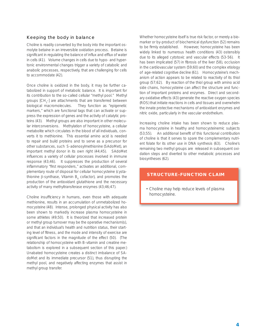# Keeping the body in balance

Choline is readily converted by the body into the important osmolyte betaine in an irreversible oxidation process. Betaine is significant in regulating the balance of influx and efflux of water in cells (41). Volume changes in cells due to hypo- and hypertonic environmental changes trigger a variety of catabolic and anabolic processes, respectively, that are challenging for cells to accommodate (42).

Once choline is oxidized in the body, it may be further catabolized in support of metabolic balance. It is important for its contribution to the so-called cellular "methyl pool." Methyl groups [CH<sub>3</sub>-] are attachments that are transferred between biological macromolecules. They function as "epigenetic markers," which are functional tags that can activate or suppress the expression of genes and the activity of catalytic proteins (43). Methyl groups are also important in other molecular interconversions. Methylation of homocysteine, a cellular metabolite which circulates in the blood of all individuals, converts it to methionine. This essential amino acid is needed to repair and build proteins and to serve as a precursor for other substances, such S-adenosylmethionine (SAdoMet), an important methyl donor in its own right (44;45). SAdoMet influences a variety of cellular processes involved in immune response (43;46). It suppresses the production of several inflammatory "first responders," activates an additional, complementary route of disposal for cellular homocysteine (cystathionine β-synthase, Vitamin B<sub>6</sub> cofactor), and promotes the production of the antioxidant glutathione and the necessary activity of many methyltransferase enzymes (43;46;47).

Choline insufficiency in humans, even those with adequate methionine, results in an accumulation of unmetabolized homocysteine (48). Intense, prolonged physical activity has also been shown to markedly increase plasma homocysteine in some athletes (49;50). It is theorized that increased protein or methyl group turnover may be the operative mechanism(s), and that an individual's health and nutrition status, their starting level of fitness, and the mode and intensity of exercise are significant factors in the magnitude of the effect (50). (The relationship of homocysteine with B-vitamin and creatine metabolism is explored in a subsequent section of this paper.) Unabated homocysteine creates a distinct imbalance of SAdoMet and its immediate precursor (51), thus disrupting the methyl pool, and negatively affecting enzymes that assist in methyl group transfer.

Whether homocysteine itself is true risk factor, or merely a biomarker or by-product of biochemical dysfunction (52) remains to be firmly established. However, homocysteine has been widely linked to numerous health conditions (43) ostensibly due to its alleged cytotoxic and vascular effects (53-56). It has been implicated (57) in fibrosis of the liver (58), occlusion in the cardiovascular system (59;60) and the complex etiology of age-related cognitive decline (61). Homocysteine's mechanism of action appears to be related to reactivity of its thiol group (57;62). By reaction of the thiol group with amino acid side chains, homocysteine can affect the structure and function of important proteins and enzymes. Direct and secondary oxidative effects (43) generate the reactive oxygen species (ROS) that initiate reactions in cells and tissues and overwhelm the innate protective mechanisms of antioxidant enzymes and nitric oxide, particularly in the vascular endothelium.

Increasing choline intake has been shown to reduce plasma homocysteine in healthy and homocysteinemic subjects (53;55). An additional benefit of this functional contribution of choline is that it serves to spare the complementary nutrient folate for its other use in DNA synthesis (63). Choline's remaining two methyl groups are released in subsequent oxidation steps and diverted to other metabolic processes and biosyntheses (62).

## **STRUCTURE-FUNCTION CLAIM**

• Choline may help reduce levels of plasma homocysteine.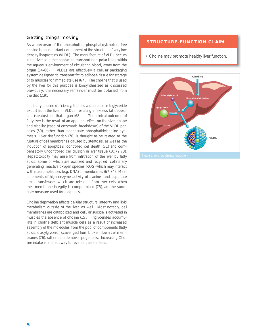# Getting things moving

As a precursor of the phospholipid phosphatidylcholine, free choline is an important component of the structure of very low density lipoproteins (VLDL). The manufacture of VLDL occurs in the liver as a mechanism to transport non-polar lipids within the aqueous environment of circulating blood, away from the organ (64-66). VLDLs are effectively a cellular packaging system designed to transport fat to adipose tissue for storage or to muscles for immediate use (67). The choline that is used by the liver for this purpose is biosynthesized as discussed previously; the necessary remainder must be obtained from the diet (2;9).

In dietary choline deficiency, there is a decrease in triglyceride export from the liver in VLDLs, resulting in excess fat deposition (steatosis) in that organ (68). The clinical outcome of fatty liver is the result of an apparent effect on the size, shape and viability (ease of enzymatic breakdown) of the VLDL particles (69), rather than inadequate phosphatidylcholine synthesis. Liver dysfunction (70) is thought to be related to the rupture of cell membranes caused by steatosis, as well as the induction of apoptosis (controlled cell death) (71) and compensatory uncontrolled cell division in liver tissue (10;72;73). Hepatotoxicity may arise from infiltration of the liver by fatty acids, some of which are oxidized and recycled, collaterally generating reactive oxygen species (ROS) which may interact with macromolecules (e.g. DNA) or membranes (67;74). Measurements of high enzyme activity of alanine- and aspartate aminotransferase, which are released from liver cells when their membrane integrity is compromised (75), are the surrogate measure used for diagnosis.

Choline deprivation affects cellular structural integrity and lipid metabolism outside of the liver, as well. Most notably, cell membranes are catabolized and cellular suicide is activated in muscles the absence of choline (15). Triglycerides accumulate in choline deficient muscle cells as a result of increased assembly of the molecules from the pool of components (fatty acids, diacylglycerol) scavenged from broken down cell membranes (76), rather than *de novo* lipogenesis. Increasing Choline intake is a direct way to reverse these effects.

# **STRUCTURE-FUNCTION CLAIM**

• Choline may promote healthy liver function.

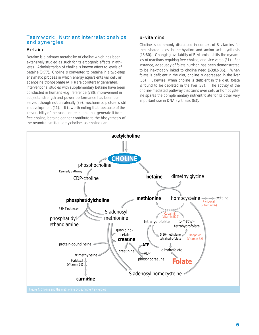# Teamwork: Nutrient interrelationships and synergies

#### Betaine

Betaine is a primary metabolite of choline which has been extensively studied as such for its ergogenic effects in athletes. Administration of choline is known affect to levels of betaine (3;77). Choline is converted to betaine in a two-step enzymatic process in which energy equivalents (as cellular adenosine triphosphate (ATP)) are collaterally generated. Interventional studies with supplementary betaine have been conducted in humans (e.g. reference (78)); improvement in subjects' strength and power performance has been observed, though not unilaterally (79), mechanistic picture is still in development (41). It is worth noting that, because of the irreversibility of the oxidation reactions that generate it from free choline, betaine cannot contribute to the biosynthesis of the neurotransmitter acetylcholine, as choline can.

#### B-vitamins

Choline is commonly discussed in context of B-vitamins for their shared roles in methylation and amino acid synthesis (48;80). Changing availability of B-vitamins shifts the dynamics of reactions requiring free choline, and vice versa (81). For instance, adequacy of folate nutrition has been demonstrated to be inextricably linked to choline need (63;82-86). When folate is deficient in the diet, choline is decreased in the liver (85). Likewise, when choline is deficient in the diet, folate is found to be depleted in the liver (87). The activity of the choline-mediated pathway that turns over cellular homocysteine spares the complementary nutrient folate for its other very important use in DNA synthesis (63).

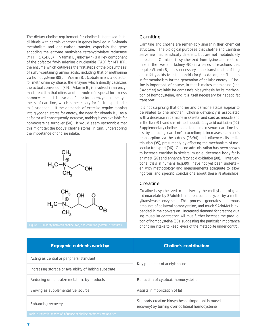The dietary choline requirement for choline is increased in individuals with certain variations in genes involved in B-vitamin metabolism and one-carbon transfer, especially the gene encoding the enzyme methylene tetrahydrofolate reductase (MTHFR) (14;86). Vitamin B<sub>2</sub> (riboflavin) is a key component of the cofactor flavin adenine dinucleotide (FAD) for MTHFR, the enzyme which catalyzes the first steps of the biosynthesis of sulfur-containing amino acids, including that of methionine *via* homocysteine (88). Vitamin B<sub>12</sub> (cobalamin) is a cofactor for methionine synthase, the enzyme which directly catalyzes the actual conversion (89). Vitamin  $B_6$  is involved in an enzymatic reaction that offers another route of disposal for excess homocysteine. It is also a cofactor for an enzyme in the synthesis of carnitine, which is necessary for fat transport prior to β-oxidation. If the demands of exercise require tapping into glycogen stores for energy, the need for Vitamin  $B_{6}$  as a cofactor will consequently increase, making it less available for homocysteine turnover (50). It would seem reasonable that this might tax the body's choline stores, in turn, underscoring the importance of choline intake.



## **Carnitine**

Carnitine and choline are remarkably similar in their chemical structure. The biological purposes that choline and carnitine serve are mechanistically different, but are not metabolically unrelated. Carnitine is synthesized from lysine and methionine in the liver and kidney (90) in a series of reactions that require Vitamin B<sub>6</sub>. It is necessary in the translocation of long chain fatty acids to mitochondria for  $β$ -oxidation, the first step in fat metabolism for the generation of cellular energy. Choline is important, of course, in that it makes methionine (and SAdoMet) available for carnitine's biosynthesis by its methylation of homocysteine, and it is itself necessary for hepatic fat transport.

It is not surprising that choline and carnitine status appear to be related to one another. Choline deficiency is associated with a decrease in carnitine in skeletal and cardiac muscle and in the liver (91) and diminished hepatic fatty acid oxidation (92). Supplementary choline seems to maintain serum carnitine levels by reducing carnitine's excretion; it increases carnitine's reabsorption via the kidney (93;94) and influences its redistribution (95), presumably by affecting the mechanism of molecular transport (96). Choline administration has been shown to increase carnitine in skeletal muscle, decrease body fat in animals (97) and enhance fatty acid oxidation (98). Interventional trials in humans (e.g.(99)) have not yet been undertaken with methodology and measurements adequate to allow rigorous and specific conclusions about these relationships.

#### Creatine

Creatine is synthesized in the liver by the methylation of guanidinoacetate by SAdoMet, in a reaction catalyzed by a methyltransferase enzyme. This process generates enormous amounts of collateral homocysteine, and much SAdoMet is expended in the conversion. Increased demand for creatine during muscular contraction will thus further increase the production of homocysteine (50), suggesting the particular importance of choline intake to keep levels of the metabolite under control.

| Ergogenic nutrients work by:                                          | <b>Choline's contribution:</b>                                                                           |  |
|-----------------------------------------------------------------------|----------------------------------------------------------------------------------------------------------|--|
| Acting as central or peripheral stimulant                             | Key precursor of acetylcholine                                                                           |  |
| Increasing storage or availability of limiting substrate              |                                                                                                          |  |
| Reducing or neutralize metabolic by-products                          | Reduction of cytotoxic homocysteine                                                                      |  |
| Serving as supplemental fuel source                                   | Assists in mobilization of fat                                                                           |  |
| Enhancing recovery                                                    | Supports creatine biosynthesis (important in muscle<br>recovery) by turning over collateral homocysteine |  |
| Table 2 Potential modes of influence of choline on fitness metabolism |                                                                                                          |  |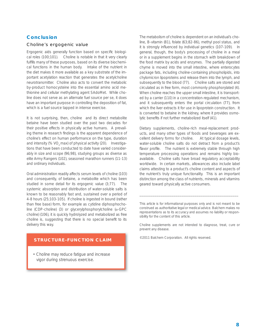# **Conclusion**

#### Choline's ergogenic value

Ergogenic aids generally function based on specific biological roles (100;101). Choline is notable in that it very clearly fulfills many of these purposes, based on its diverse biochemical functions in the human body. Intake of the nutrient in the diet makes it more available as a key substrate of the important acetylation reaction that generates the acetylcholine neurotransmitter. Choline also acts to convert the metabolic by-product homocysteine into the essential amino acid methionine and cellular methylating agent SAdoMet. While choline does not serve as an alternate fuel source *per se*, it does have an important purpose in controlling the deposition of fat, which is a fuel source tapped in intense exercise.

It is not surprising, then, choline and its direct metabolite betaine have been studied over the past two decades for their positive effects in physically active humans. A prevailing theme in research findings is the apparent dependence of choline's effect on human performance on the type, duration and intensity (% VO<sub>2</sub> max) of physical activity (20). Investigations that have been conducted to date have varied considerably in size and scope (96;98), studying groups as diverse as elite Army Rangers (102), seasoned marathon runners (11-13) and ordinary individuals.

Oral administration readily affects serum levels of choline (103) and consequently, of betaine, a metabolite which has been studied in some detail for its ergogenic value (3;77). The systemic absorption and distribution of water-soluble salts is known to be reasonably fast and, sustained over a period of 4-8 hours (25;103-105). If choline is ingested in bound (rather than free base) form, for example as cytidine diphosphocholine (CDP-choline) (3) or glycerylphosphorylcholine (α-GPC choline) (106), it is quickly hydrolyzed and metabolized as free choline is, suggesting that there is no special benefit to its delivery this way.

## **STRUCTURE-FUNCTION CLAIM**

• Choline may reduce fatigue and increase vigor during strenuous exercise.

The metabolism of choline is dependent on an individual's choline, B-vitamin (81), folate (63;82-86), methyl pool status, and it is strongly influenced by individual genetics (107-109). In general, though, the body's processing of choline in a meal or in a supplement begins in the stomach with breakdown of the food matrix by acids and enzymes. The partially digested chyme is moved into the small intestine, where enterocytes package fats, including choline-containing phospholipids, into chylomicron lipoproteins and release them into the lymph, and subsequently to the blood (77). Choline salts are stored and circulated as in free form, most commonly phosphorylated (4). When choline reaches the upper small intestine, it is transported by a carrier (110) in a concentration-regulated mechanism, and it subsequently enters the portal circulation (77), from which the liver extracts it for use in lipoprotein construction. It is converted to betaine in the kidney, where it provides osmolytic benefits if not further metabolized itself (41).

Dietary supplements, choline-rich meal-replacement products, and many other types of foods and beverages are excellent delivery forms for choline. At typical dosage levels, water-soluble choline salts do not detract from a product's flavor profile. The nutrient is extremely stable through high temperature processing operations and remains highly bioavailable. Choline salts have broad regulatory acceptability worldwide. In certain markets, allowances also include label claims attesting to a product's choline content and aspects of the nutrient's truly unique functionality. This is an important distinction among the class of nutrients, minerals and vitamins geared toward physically active consumers.

*This article is for informational purposes only and is not meant to be construed as authoritative legal or medical advice. Balchem makes no representations as to its accuracy and assumes no liability or responsibility for the content of this article.*

\_\_\_\_\_\_\_\_\_\_\_\_\_\_\_\_\_\_\_\_\_\_\_\_\_\_\_\_\_\_\_\_\_\_\_\_\_\_\_\_\_\_\_\_\_\_\_\_\_\_\_\_

*Choline supplements are not intended to diagnose, treat, cure or prevent any disease.* 

*©2011 Balchem Corporation. All rights reserved.*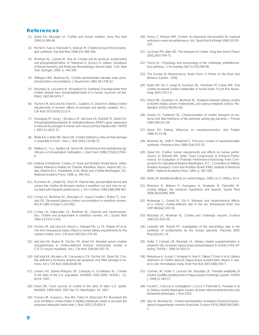## **References**

- (1) Zeisel SH, Blusztajn JK. Choline and human nutrition. Annu Rev Nutr 1994;14:269-96.
- (2) Michel V, Yuan Z, Ramsubir S, Bakovic M. Choline transport for phospholipid synthesis. Exp Biol Med 2006;231:490-504.
- (3) Wurtman RJ, Cansev M, Ulus IH. Choline and its products acetylcholine and phosphatidylcholine. In: Tettamani G, Goracci G, editors. Handbook of Neurochemistry and Molecular Neurobiology: Neural Lipids. 3 ed. New York: Springer; 2009. p. 443-500.
- (4) Millington WR, Wurtman RJ. Choline administration elevates brain phosphorylcholine concentrations. J Neurochem 1982;38:1748-52.
- (5) Blusztajn JK, Liscovitch M, Richardson UI. Synthesis of acetylcholine from choline derived from phosphatidylcholine in a human neuronal cell line. PNAS 1987;84:5474-7.
- (6) Fischer LM, daCosta KA, Kwock L, Galanko JA, Zeisel SH. Dietary choline requirements of women: effects of estrogen and genetic variation. Am J Clin Nutr 2010;92(5):1113-9.
- (7) Resseguie M, Song J, Niculescu M, daCosta KA, Randall TA, Zeisel SH. Phosphatidylethanolamine N-methyltransferase (*PEMT*) gene expression is induced by estrogen in human and mouse primary hepatocytes. FASEB J 2007;21:2622-32.
- (8) Waite KA, Cabilio NR, Vance DE. Choline deficiency-induced liver damage is reversible in Pemt-/- mice. J Nutr 2002;132:68-71.
- (9) Walkey CJ, Yu L, Agellon LB, Vance DE. Biochemical and evolutionary significance of phospholipid methylation. J Biol Chem 1998;273(42):27043-6.
- (10) Institute of Medicine. Choline. In: Food and Nutrition Board NAoS, editor. Dietary Reference Intakes for Thiamin, Riboflavin, Niacin, Vitamin B6, Folate, Vitamin B12, Pantothenic Acid, Biotin and Choline.Washington, DC: National Academy Press; 1998. p. 390-422.
- (11) Buchman AL, Jenden DJ, Roch M. Plasma free, phospholipid-bound and urinary free choline all decrease during a marathon run and may be associated with impaired performance. J Am Coll Nutr 1999;18(6):598-601.
- (12) Conlay LA, Wurtman RJ, Blusztajn JK, Lopez-Coviella I, Maher TJ, Evoniuk GE. Decreased plasma choline concentrations in marathon runners. NEJM 1986 October 2;315:892.
- (13) Conlay LA, Sabounjian LA, Wurtman RJ. Exercise and neuromodulators: Choline and acetylcholine in marathon runners. Int J Sports Med 1992;13:S141-S142.
- (14) Fischer LM, daCosta KA, Kwock L, Stewart PW, Lu TS, Stabler SP et al. Sex and menopausal status influence human dietary requirements for the nutrient choline. Am J Clin Nutr 2007;85:1275-85.
- (15) daCosta KA, Badea M, Fischer LM, Zeisel SH. Elevated serum creatine phosphokinase in choline-deficient humans: mechanistic studies in .<br>C2C12 mouse myoblasts. Am J Clin Nutr 2004;80:163-70.
- (16) daCosta KA, Niculescu M, Craciunescu CN, Fischer LM, Zeisel SH. Choline deficiency increases lymphocyte apoptosis and DNA damage in humans. Am J Clin Nutr 2006;84:88-94.
- (17) Jensen HH, Batres-Marquez SP, Carriquiry A, Schallnake KL. Choline in the diets of the U.S. population: NHANES 2003-2004. FASEB J. 21, lb219. 2007.
- (18) Keast DR. Food sources of choline in the diets of older U.S. adults: NHANES 1999-2004. 2007 Apr 27; Washington, DC 2007.
- (19) Fischer LM, Scearce J, Mar MH, Patel JR, Blanchard RT, Macintosh BA et al. *Ad libitum* choline intake in healthy individuals meets or exceeds the proposed adequate intake level. J Nutr 2005;135:826-9.
- (20) Penry JT, Manore MM. Choline: An important micronutrient for maximal endurance-exercise performance. Int J Sport Nutr Ex Metab 2008;18:191- 203.
- (21) Lockman PR, Allen DD. The transport of choline. Drug Dev Indust Pharm 2002;28(7):749-71.
- (22) Tracey KJ. Physiology and immunology of the cholinergic antiinflammatory pathway. J Clin Investig 2007;117(2):289-96.
- (23) The Society for Neuroscience. Brain Facts: A Primer on the Brain and Nervous System. 2008.
- (24) Babb SM, Ke Y, Lange N, Kaufman MJ, Renshaw PF, Cohen BM. Oral choline increased choline metabolites in human brain. Pscyh Res Neuroimag 2004;130:1-9.
- (25) Hirsch MJ, Growdon JH, Wurtman RJ. Relations between dietary choline or lecithin intake, serum choline levels, and various metabolic indices. Metabolism 1978;27(8):953-60.
- (26) Sweiry JH, Yudilevich DL. Characterization of choline transport at maternal and fetal interfaces of the perfused guinea-pig placenta. J Physiol 1985;366:251-66.
- (27) Zeisel SH. Dietary influences on neurotransmission. Adv Pediatr 1986;33:23-48.
- (28) Wurtman RJ, Hefti F, Melamed E. Precursor control of neurotransmitter synthesis. Pharmacol Rev 1980;32(4):315-35.
- (29) Zeisel SH. Choline: human requirements and effects on human performance. In: Marriott BM, editor. Food Components to Enhance Performance: An Evaluation of Potential Performance-Enhancing Food Components for Operational Rations.Washington, D.C.: Committee on Military Nutrition Research, Food and Nutrition Board (FNB), Institute of Medicine (IOM) - National Academy Press; 1994. p. 381-406.
- (30) Davis JM. Nutritional effects on central fatigue. 1996 Jun 3; 1996 p. 63-4.
- (31) Meeusen R, Watson P, Hasegawa H, Roelands B, Piacentini M. Central fatigue: the serotonin hypothesis and beyond. Sports Med 2006;36(10):881-909.
- (32) Molinengo L, Orsetti M, Ghi P. Behavior and neurochemical effects of a chronic choline-deficient diet in the rat. Behavioural Brain Res 1997;84(1&2):145-50.
- (33) Blusztajn JK, Wurtman RJ. Choline and cholinergic neurons. Science 1983;221:614-20.
- (34) Leventer SM, Rowell PP. Investigation of the rate-limiting step in the synthesis of acetylcholine by the human placenta. Placenta 2005 May;5(3):261-70.
- (35) Holler T, Cermak JM, Blusztajn JK. Dietary choline supplementation in pregnant rats increases hippocampal phospholipase D activity of the offspring. FASEB J 1996;10:1653-9.
- (36) Nakamura A, Suzuki Y, Umegaki H, Ikari H, Tajima T, Endo H et al. Dietary restriction of choline reduces hippocampal acetylcholine release in rats: an *in vivo* microdialysis study. Brain Res Bull 2001;56(6):593-7.
- (37) Cermak JM, Holler T, Jackson DA, Blusztajn JK. Prenatal availability of choline modifies development of hippocampal cholinergic system. FASEB J 1998;12:349-57.
- (38) Pacelli C, Coluccia A, Grattagliano I, Cocco T, Petrosiilo G, Paradies G et al. Dietary choline deprivation impairs rat brain mitochondrial function and behavioral phenotype. J Nutr 2010.
- (39) Ulus IH, Wurtman RJ. Choline administration: Activation of tyrosine hydroxylase in dopaminergic neurons of rat brain. Science 1976;194(4249):1060- 1.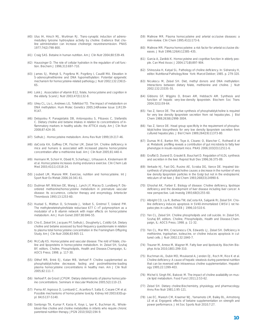- (40) Ulus IH, Hirsch MJ, Wurtman RJ. Trans-synaptic induction of adrenomedullary tyrosine hydroxylase activity by choline: Evidence that choline administration can increase cholinergic neurotransmission. PNAS 1977;74(2):798-800.
- (41) Craig SAS. Betaine in human nutrition. Am J Clin Nutr 2004;80:539-49.
- (42) Haussinger D. The role of cellular hydration in the regulation of cell function. Biochem J 1996;313:697-710.
- (43) James SJ, Melnyk S, Pogribna M, Pogribny I, Caudill MA. Elevation in S-adenosylmethionine and DNA hypomethylation: Potential epigenetic mechanism for homocysteine-related pathology. J Nutr 2002;132:2361S-6S.
- (44) Lokk J. Association of vitamin B12, folate, homocysteine and cognition in the elderly. Scand J Nutr 2003;47(3):132-8.
- (45) Ulrey CL, Liu L, Andrews LG, Tollefsbol TO. The impact of metabolism on DNA methylation. Hum Molec Genetics 2005;14(Review Issue 1):R139- R147.
- (46) Detopolou P, Panagiotakis DB, Antonopolou S, Pitsavos C, Stefanidis C. Dietary choline and betaine intakes in relation to concentrations of inflammatory markers in healthy adults: the ATTICA study. Am J Clin Nutr 2008;87:424-30.
- (47) Selhub J. Homocysteine metabolism. Annu Rev Nutr 1999;19:217-46.
- (48) daCosta KA, Gaffney CM, Fischer LM, Zeisel SH. Choline deficiency in mice and humans is associated with increased plasma homocysteine concentration after a methionine load. Am J Clin Nutr 2005;81:440-4.
- (49) Hermann M, Schorr H, Obeid R, Scharhag J, Urhausen A, Kindermann W et al. Homocysteine increases during endurance exercise. Clin Chem Lab Med 2003;41(11):1518-24.
- (50) Joubert LM, Manore MM. Exercise, nutrition and homocysteine. Int J Sport Nutr Ex Metab 2006;16:341-61.
- (51) Dudman NP, Wilcken DE, Wang J, Lynch JF, Macey D, Lundberg P. Disordered methionine/homocysteine metabolism in premature vascular disease: Its occurrence, cofactor therapy and enzymology. Arteriocler Thrombosis 1993;13:1253-60.
- (52) Hustad S, Midttun O, Schneede J, Vollset S, Grotmol T, Ueland PM. The methylenetetrahydrofolate reductase 677 C->T polymorphism as a modulator of a B vitamin network with major effects on homocysteine metabolism. Am J Hum Genet 2007;80:846-55.
- (53) Cho E, Zeisel SH, Jacques PF, Selhub J, Dougherty L, Colditz GA. Dietary choline and betaine assessed by food-frequency questionnaire in relation to plasma total homocysteine concentration in the Framingham Offspring Study. Am J Clin Nutr 2006;83:905-11.
- (54) McCully KS. Homocysteine and vascular disease: The rold of folate, choline and lipoproteins in homocysteine metabolism. In: Zeisel SH, Szuhaj BF, editors. Choline, Phospholipids, Health and Disease.Champaign, IL: AOCS Press; 1998. p. 117-30.
- (55) Olthof MR, Brink EJ, Katan MB, Verhoef P. Choline supplemented as phosphatidylcholine decreases fasting and postmethionine-loading plasma homocysteine concentrations in healthy men. Am J Clin Nutr 2005;82:111-7.
- (56) Verhoef P, de Groot LCPGM. Dietary determinants of plasma homocysteine concentrations. Seminars in Vascular Medicine 2005;5(2):110-23.
- (57) Perna AF, Ingrosso D, Lombardi C, Acanfora F, Satta E, Cesare CM et al. Possible mechanisms of homocysteine toxicity. Kidney Intl 2003;63(Suppl. 84):S137-S140.
- (58) Sentongo TA, Kumar P, Karza K, Keys L, Iyer K, Buchman AL. Wholeblood-free choline and choline metabolites in infants who require chronic parenteral nutrition therapy. JPGN 2010;50(2):194-9.
- (59) Malinow MR. Plasma homocysteine and arterial occlusive diseases: a mini-review. Clin Chem 1995;41(1):173-6.
- (60) Malinow MR. Plasma homocysteine: a risk factor for arterial occlusive diseases. J Nutr 1996;126(4):1238S-43S.
- (61) Garcia A, Zanibbi K. Homocysteine and cognitive function in elderly people. Can Med Assoc J 2004;171(8):897-904.
- (62) Shinozuka H, Katyal SL. Pathology of choline deficiency. In: Sidransky H, editor. Nutritional Pathology.New York: Marcel Dekker; 1985. p. 279-320.
- (63) Niculescu M, Zeisel SH. Diet, methyl donors and DNA methylation: Interactions between dietary folate, methionine and choline. J Nutr 2002;132:2333S-5S.
- (64) Gibbons GF, Wiggins D, Brown AM, Hebbachi AM. Synthesis and function of hepatic very-low-density lipoprotein. Biochem Soc Trans 2004;32(1):59-64.
- (65) Yao Z, Vance DE. The active synthesis of phosphatidylcholine is required for very low density lipoprotein secretion from rat hepatocytes. J Biol Chem 1988;263(6):2998-3004.
- (66) Yao Z, Vance DE. Head group specificity in the requirement of phosphatidylcholine biosynthesis for very low density lipoprotein secretion from cultured hepatocytes. J Biol Chem 1989;264(19):11373-80.
- (67) Dumas M-E, Barton RH, Toye A, Cloarec O, Blancher C, Rothwell A et al. Metabolic profiling reveals a contribution of gut microbiota to fatty liver phenotype in insulin-resistant mice. PNAS 2006;103(33):12511-6.
- (68) Gruffat D, Durand D, Graulet B, Bauchart D. Regulation of VLDL synthesis and secretion in the liver. Reprod Nutr Dev 1996;36:375-89.
- (69) Verkade HJ, Fast DG, Rusino AE, Scraba DG, Vance DE. Impaired biosynthesis of phosphatidylcholine causes a decrease in the number of very low density lipoprotein particles in the Golgi but not in the endoplasmic reticulum of rat liver. J Biol Chem 1993;268(33):24990-6.
- (70) Ghoshal AK, Farber E. Biology of disease: Choline deficiency, lipotrope deficiency and the development of liver disease including liver cancer: A new perspective. Lab Investig 1993;68(3):255-60.
- (71) Albright CD, Liu R, Bethea TW, daCosta KA, Salganik RI, Zeisel SH. Choline deficiency induces apoptosis in SV40-immortalized CWSV-1 rat hepatocytes in culture. FASEB J 1996;10:510-6.
- (72) Yen CL, Zeisel SH. Choline phospholipids and cell suicide. In: Zeisel SH, Szuhaj BF, editors. Choline, Phospholipids, Health and Disease.Champaign, IL: AOCS Press; 1998. p. 11-32.
- (73) Yen CL, Mar MH, Craciunescu CN, Edwards LJ, Zeisel SH. Deficiency in methionine, tryptophan, isoleucine, or choline induces apoptosis in cultured cells. J Nutr 2002;132:1840-7.
- (74) Trauner M, Arrese M, Wagner M. Fatty liver and lipotoxicity. Biochim Biophys Acta 2010;1801:299-310.
- (75) Buchman AL, Dubin MD, Moukarzel A, Jenden DJ, Roch M, Rice K et al. Choline deficiency: A cause of hepatic steatosis during parenteral nutrition that can be reversed with intravenous choline supplementation. Hepatology 1995;22:1399-403.
- (76) Michel V, Singh RK, Bakovic M. The impact of choline availability on muscle lipid metabolism. Food Funct 2011;2:53-62.
- (77) Zeisel SH. Dietary choline:Biochemistry, physiology, and pharmacology. Annu Rev Nutr 1981;1:95-121.
- (78) Lee EC, Maresh CM, Kraemer WJ, Yamamoto LM, Bailey BL, Armstrong LE et al. Ergogenic effects of betaine supplementation on strength and power performance. J Int Soc Sports Nutr 2010;7:27.